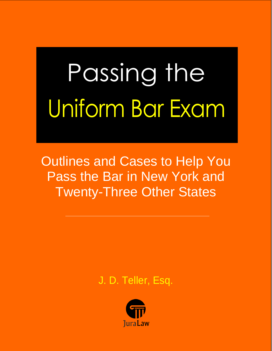# Passing the Uniform Bar Exam

Outlines and Cases to Help You Pass the Bar in New York and Twenty-Three Other States

J. D. Teller, Esq.

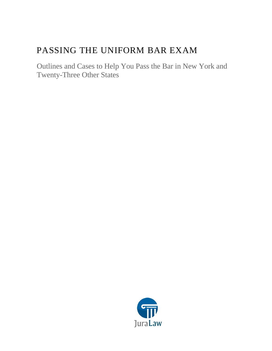Outlines and Cases to Help You Pass the Bar in New York and Twenty-Three Other States

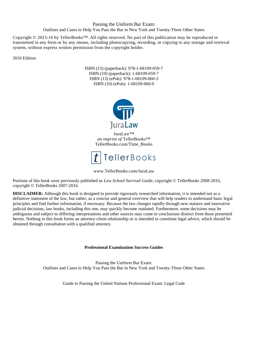Passing the Uniform Bar Exam: Outlines and Cases to Help You Pass the Bar in New York and Twenty-Three Other States

Copyright © 2015-16 by TellerBooks™. All rights reserved. No part of this publication may be reproduced or transmitted in any form or by any means, including photocopying, recording, or copying to any storage and retrieval system, without express written permission from the copyright holder.

2016 Edition

ISBN (13) (paperback): 978-1-68109-059-7 ISBN (10) (paperback): 1-68109-059-7 ISBN (13) (ePub): 978-1-68109-060-3 ISBN (10) (ePub): 1-68109-060-0



JuraLaw™ *an imprint of* TellerBooks™ TellerBooks.com/Time\_Books



www.TellerBooks.com/JuraLaw

Portions of this book were previously published as *Law School Survival Guide*, copyright © TellerBooks 2008-2016, copyright © TellerBooks 2007-2016.

**DISCLAIMER:** Although this book is designed to provide rigorously researched information, it is intended not as a definitive statement of the law, but rather, as a concise and general overview that will help readers to understand basic legal principles and find further information, if necessary. Because the law changes rapidly through new statutes and innovative judicial decisions, law books, including this one, may quickly become outdated. Furthermore, some decisions may be ambiguous and subject to differing interpretations and other sources may come to conclusions distinct from those presented herein. Nothing in this book forms an attorney-client relationship or is intended to constitute legal advice, which should be obtained through consultation with a qualified attorney.

## **Professional Examination Success Guides**

Passing the Uniform Bar Exam: Outlines and Cases to Help You Pass the Bar in New York and Twenty-Three Other States

Guide to Passing the United Nations Professional Exam: Legal Code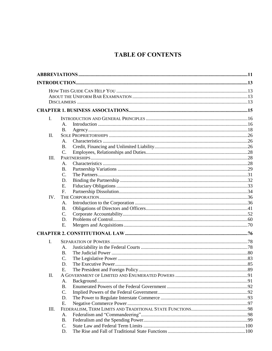## **TABLE OF CONTENTS**

| L.   |                 |  |
|------|-----------------|--|
|      | Α.              |  |
|      | <b>B.</b>       |  |
| П.   |                 |  |
|      | A.              |  |
|      | <b>B.</b>       |  |
|      | $\mathcal{C}$ . |  |
| III. |                 |  |
|      | A.              |  |
|      | <b>B.</b>       |  |
|      | $\mathcal{C}$ . |  |
|      | D.              |  |
|      | E.              |  |
|      | F <sub>r</sub>  |  |
| IV.  |                 |  |
|      | A.              |  |
|      | <b>B.</b>       |  |
|      | C.              |  |
|      | D.              |  |
|      | Ε.              |  |
|      |                 |  |
| Ι.   |                 |  |
|      | A.              |  |
|      | <b>B.</b>       |  |
|      | C.              |  |
|      | D.              |  |
|      |                 |  |
| П.   |                 |  |
|      | А.              |  |
|      | <b>B.</b>       |  |
|      | $C$ .           |  |
|      | D.              |  |
|      | Ε.              |  |
| Ш.   |                 |  |
|      | A.              |  |
|      | <b>B.</b>       |  |
|      | C.              |  |
|      | D.              |  |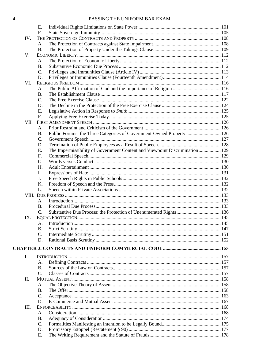|      | E.              |                                                                             |  |
|------|-----------------|-----------------------------------------------------------------------------|--|
|      | F.              |                                                                             |  |
| IV.  |                 |                                                                             |  |
|      | Α.              |                                                                             |  |
|      | <b>B.</b>       |                                                                             |  |
| V.   |                 |                                                                             |  |
|      | А.              |                                                                             |  |
|      | <b>B.</b>       |                                                                             |  |
|      | $\mathcal{C}$ . |                                                                             |  |
|      | D.              |                                                                             |  |
| VI.  |                 |                                                                             |  |
|      | Α.              |                                                                             |  |
|      | <b>B.</b>       |                                                                             |  |
|      | $C$ .           |                                                                             |  |
|      | D.              |                                                                             |  |
|      | E.              |                                                                             |  |
|      | F.              |                                                                             |  |
| VII. |                 |                                                                             |  |
|      | Α.              |                                                                             |  |
|      | <b>B.</b>       | Public Forums: the Three Categories of Government-Owned Property  126       |  |
|      | $\mathcal{C}$ . |                                                                             |  |
|      | D.<br>E.        |                                                                             |  |
|      | F.              | The Impermissibility of Government Content and Viewpoint Discrimination 129 |  |
|      | G.              |                                                                             |  |
|      | H.              |                                                                             |  |
|      | Ι.              |                                                                             |  |
|      | J.              |                                                                             |  |
|      | Κ.              |                                                                             |  |
|      | L.              |                                                                             |  |
|      |                 |                                                                             |  |
|      | $\mathsf{A}$ .  |                                                                             |  |
|      | <b>B.</b>       |                                                                             |  |
|      | $\mathcal{C}$ . |                                                                             |  |
| IX.  |                 |                                                                             |  |
|      | А.              |                                                                             |  |
|      | <b>B.</b>       |                                                                             |  |
|      | $\mathcal{C}$ . |                                                                             |  |
|      | D.              |                                                                             |  |
|      |                 |                                                                             |  |
|      |                 |                                                                             |  |
| I.   |                 |                                                                             |  |
|      | А.              |                                                                             |  |
|      | <b>B.</b>       |                                                                             |  |
|      | $\mathsf{C}$    |                                                                             |  |
| П.   |                 |                                                                             |  |
|      | А.              |                                                                             |  |
|      | <b>B.</b>       |                                                                             |  |
|      | C.              |                                                                             |  |
|      | D.              |                                                                             |  |
| Ш.   |                 |                                                                             |  |
|      | Α.              |                                                                             |  |
|      | <b>B.</b><br>C. |                                                                             |  |
|      | D.              |                                                                             |  |
|      | E.              |                                                                             |  |
|      |                 |                                                                             |  |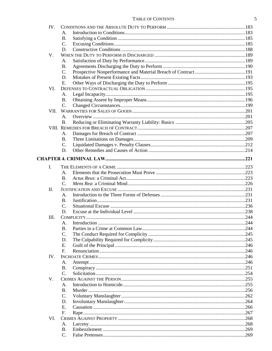| IV.  |                 |                |     |
|------|-----------------|----------------|-----|
|      | А.              |                |     |
|      | <b>B.</b>       |                |     |
|      | $\mathbf{C}$ .  |                |     |
|      | D.              |                |     |
| V.   |                 |                |     |
|      | А.              |                |     |
|      | <b>B.</b>       |                |     |
|      | C.              |                |     |
|      | D.              |                |     |
|      | E.              |                |     |
| VI.  |                 |                |     |
|      | А.              |                |     |
|      | <b>B.</b>       |                |     |
|      | $\mathcal{C}$ . |                |     |
| VII. |                 |                |     |
|      | А.              |                |     |
|      | <b>B.</b>       |                |     |
|      |                 |                |     |
|      | A.              |                |     |
|      | <b>B.</b>       |                |     |
|      | C.              |                |     |
|      | D.              |                |     |
|      |                 |                |     |
|      |                 |                |     |
| L.   |                 |                |     |
|      | Α.              |                |     |
|      | <b>B.</b>       |                |     |
|      | $\mathcal{C}$ . |                |     |
| II.  |                 |                |     |
|      | Α.              |                |     |
|      | <b>B.</b>       |                |     |
|      | $\mathcal{C}$ . |                |     |
|      | D.              |                |     |
| Ш.   |                 |                |     |
|      |                 | - Introduction | 244 |
|      | B.              |                |     |
|      | C.              |                |     |
|      | D.              |                |     |
|      | Ε.              |                |     |
|      | F.              |                |     |
| IV.  |                 |                |     |
|      | A.              |                |     |
|      | <b>B.</b>       |                |     |
|      | $\mathcal{C}$ . |                |     |
| V.   |                 |                |     |
|      | Α.              |                |     |
|      | <b>B.</b>       |                |     |
|      | C.              |                |     |
|      | D.              |                | 264 |
|      | Ε.              |                | 266 |
|      | F.              |                | 267 |
| VI.  |                 |                |     |
|      | А.              |                |     |
|      | <b>B.</b>       |                |     |
|      | $\mathcal{C}$ . |                |     |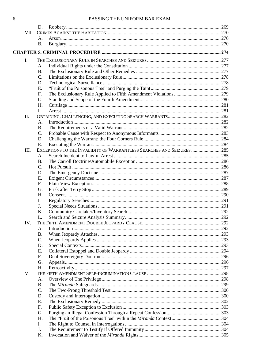|      | D.              |                                                                        |     |
|------|-----------------|------------------------------------------------------------------------|-----|
| VII. |                 |                                                                        |     |
|      | A.              |                                                                        |     |
|      | <b>B.</b>       |                                                                        |     |
|      |                 |                                                                        |     |
| Ι.   |                 |                                                                        |     |
|      | A.              |                                                                        |     |
|      | <b>B.</b>       |                                                                        |     |
|      | $\mathcal{C}$ . |                                                                        |     |
|      | D.              |                                                                        |     |
|      | Ε.              |                                                                        |     |
|      | F.              |                                                                        |     |
|      | G.              |                                                                        |     |
|      | Η.              |                                                                        |     |
|      | L               |                                                                        |     |
| П.   |                 |                                                                        |     |
|      | A.              |                                                                        |     |
|      | <b>B.</b>       |                                                                        |     |
|      | C.              |                                                                        |     |
|      | D.              |                                                                        |     |
|      | E.              |                                                                        |     |
| Ш.   |                 | EXCEPTIONS TO THE INVALIDITY OF WARRANTLESS SEARCHES AND SEIZURES  285 |     |
|      |                 |                                                                        |     |
|      | А.<br>B.        |                                                                        |     |
|      |                 |                                                                        |     |
|      | C.              |                                                                        |     |
|      | D.<br>Ε.        |                                                                        |     |
|      | F.              |                                                                        |     |
|      |                 |                                                                        |     |
|      | G.<br>H.        |                                                                        |     |
|      |                 |                                                                        |     |
|      | Ι.              |                                                                        |     |
|      | J.<br>K.        |                                                                        |     |
|      |                 |                                                                        |     |
| IV   | L.              | THE FIFTH AMENDMENT DOUBLE JEOPARDY CLAUSE                             | 292 |
|      |                 |                                                                        |     |
|      | А.<br><b>B.</b> |                                                                        |     |
|      | C.              |                                                                        |     |
|      |                 |                                                                        |     |
|      | D.              |                                                                        |     |
|      | Ε.<br>F.        |                                                                        |     |
|      | G.              |                                                                        |     |
|      | Η.              |                                                                        |     |
| V.   |                 |                                                                        |     |
|      | A.              |                                                                        |     |
|      | <b>B.</b>       |                                                                        |     |
|      | C.              |                                                                        |     |
|      | D.              |                                                                        |     |
|      | Ε.              |                                                                        |     |
|      | F.              |                                                                        |     |
|      | G.              |                                                                        |     |
|      | Η.              |                                                                        |     |
|      | I.              |                                                                        |     |
|      | J.              |                                                                        |     |
|      | Κ.              |                                                                        |     |
|      |                 |                                                                        |     |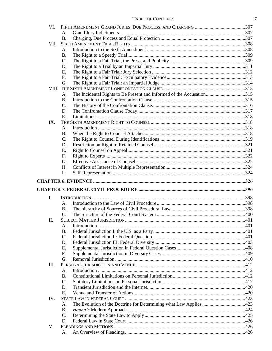| <b>B.</b><br>VII.<br>$\mathsf{A}$ .<br><b>B.</b><br>C.<br>D.<br>E.<br>F <sub>r</sub><br>G.<br>The Incidental Rights to Be Present and Informed of the Accusation315<br>A.<br><b>B.</b><br>$C$ .<br>D.<br>$E_{\rm c}$<br>IX.<br>Α.<br><b>B.</b><br>$\mathcal{C}$ .<br>D.<br>E.<br>F.<br>G.<br>H.<br>I.<br>I.<br>Α.<br><b>B.</b><br>$\mathcal{C}$ .<br>П.<br>A.<br><b>B.</b><br>$\mathcal{C}$ .<br>D.<br>E.<br>F.<br>G.<br>III.<br>А.<br><b>B.</b><br>C.<br>D.<br>E.<br>IV.<br>A.<br><b>B.</b><br>C.<br>D.<br>V.<br>Α. | VI. |    |  |
|----------------------------------------------------------------------------------------------------------------------------------------------------------------------------------------------------------------------------------------------------------------------------------------------------------------------------------------------------------------------------------------------------------------------------------------------------------------------------------------------------------------------|-----|----|--|
|                                                                                                                                                                                                                                                                                                                                                                                                                                                                                                                      |     | А. |  |
|                                                                                                                                                                                                                                                                                                                                                                                                                                                                                                                      |     |    |  |
|                                                                                                                                                                                                                                                                                                                                                                                                                                                                                                                      |     |    |  |
|                                                                                                                                                                                                                                                                                                                                                                                                                                                                                                                      |     |    |  |
|                                                                                                                                                                                                                                                                                                                                                                                                                                                                                                                      |     |    |  |
|                                                                                                                                                                                                                                                                                                                                                                                                                                                                                                                      |     |    |  |
|                                                                                                                                                                                                                                                                                                                                                                                                                                                                                                                      |     |    |  |
|                                                                                                                                                                                                                                                                                                                                                                                                                                                                                                                      |     |    |  |
|                                                                                                                                                                                                                                                                                                                                                                                                                                                                                                                      |     |    |  |
|                                                                                                                                                                                                                                                                                                                                                                                                                                                                                                                      |     |    |  |
|                                                                                                                                                                                                                                                                                                                                                                                                                                                                                                                      |     |    |  |
|                                                                                                                                                                                                                                                                                                                                                                                                                                                                                                                      |     |    |  |
|                                                                                                                                                                                                                                                                                                                                                                                                                                                                                                                      |     |    |  |
|                                                                                                                                                                                                                                                                                                                                                                                                                                                                                                                      |     |    |  |
|                                                                                                                                                                                                                                                                                                                                                                                                                                                                                                                      |     |    |  |
|                                                                                                                                                                                                                                                                                                                                                                                                                                                                                                                      |     |    |  |
|                                                                                                                                                                                                                                                                                                                                                                                                                                                                                                                      |     |    |  |
|                                                                                                                                                                                                                                                                                                                                                                                                                                                                                                                      |     |    |  |
|                                                                                                                                                                                                                                                                                                                                                                                                                                                                                                                      |     |    |  |
|                                                                                                                                                                                                                                                                                                                                                                                                                                                                                                                      |     |    |  |
|                                                                                                                                                                                                                                                                                                                                                                                                                                                                                                                      |     |    |  |
|                                                                                                                                                                                                                                                                                                                                                                                                                                                                                                                      |     |    |  |
|                                                                                                                                                                                                                                                                                                                                                                                                                                                                                                                      |     |    |  |
|                                                                                                                                                                                                                                                                                                                                                                                                                                                                                                                      |     |    |  |
|                                                                                                                                                                                                                                                                                                                                                                                                                                                                                                                      |     |    |  |
|                                                                                                                                                                                                                                                                                                                                                                                                                                                                                                                      |     |    |  |
|                                                                                                                                                                                                                                                                                                                                                                                                                                                                                                                      |     |    |  |
|                                                                                                                                                                                                                                                                                                                                                                                                                                                                                                                      |     |    |  |
|                                                                                                                                                                                                                                                                                                                                                                                                                                                                                                                      |     |    |  |
|                                                                                                                                                                                                                                                                                                                                                                                                                                                                                                                      |     |    |  |
|                                                                                                                                                                                                                                                                                                                                                                                                                                                                                                                      |     |    |  |
|                                                                                                                                                                                                                                                                                                                                                                                                                                                                                                                      |     |    |  |
|                                                                                                                                                                                                                                                                                                                                                                                                                                                                                                                      |     |    |  |
|                                                                                                                                                                                                                                                                                                                                                                                                                                                                                                                      |     |    |  |
|                                                                                                                                                                                                                                                                                                                                                                                                                                                                                                                      |     |    |  |
|                                                                                                                                                                                                                                                                                                                                                                                                                                                                                                                      |     |    |  |
|                                                                                                                                                                                                                                                                                                                                                                                                                                                                                                                      |     |    |  |
|                                                                                                                                                                                                                                                                                                                                                                                                                                                                                                                      |     |    |  |
|                                                                                                                                                                                                                                                                                                                                                                                                                                                                                                                      |     |    |  |
|                                                                                                                                                                                                                                                                                                                                                                                                                                                                                                                      |     |    |  |
|                                                                                                                                                                                                                                                                                                                                                                                                                                                                                                                      |     |    |  |
|                                                                                                                                                                                                                                                                                                                                                                                                                                                                                                                      |     |    |  |
|                                                                                                                                                                                                                                                                                                                                                                                                                                                                                                                      |     |    |  |
|                                                                                                                                                                                                                                                                                                                                                                                                                                                                                                                      |     |    |  |
|                                                                                                                                                                                                                                                                                                                                                                                                                                                                                                                      |     |    |  |
|                                                                                                                                                                                                                                                                                                                                                                                                                                                                                                                      |     |    |  |
|                                                                                                                                                                                                                                                                                                                                                                                                                                                                                                                      |     |    |  |
|                                                                                                                                                                                                                                                                                                                                                                                                                                                                                                                      |     |    |  |
|                                                                                                                                                                                                                                                                                                                                                                                                                                                                                                                      |     |    |  |
|                                                                                                                                                                                                                                                                                                                                                                                                                                                                                                                      |     |    |  |
|                                                                                                                                                                                                                                                                                                                                                                                                                                                                                                                      |     |    |  |
|                                                                                                                                                                                                                                                                                                                                                                                                                                                                                                                      |     |    |  |
|                                                                                                                                                                                                                                                                                                                                                                                                                                                                                                                      |     |    |  |
|                                                                                                                                                                                                                                                                                                                                                                                                                                                                                                                      |     |    |  |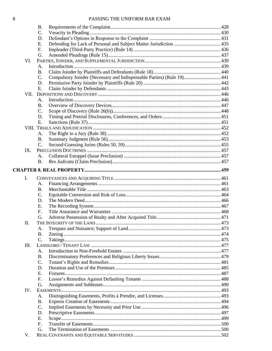|      | <b>B.</b>                                                                    |  |
|------|------------------------------------------------------------------------------|--|
|      | C.                                                                           |  |
|      | D.                                                                           |  |
|      | Ε.                                                                           |  |
|      | F.                                                                           |  |
|      | G.                                                                           |  |
| VI.  |                                                                              |  |
|      | А.                                                                           |  |
|      | B.                                                                           |  |
|      | Compulsory Joinder (Necessary and Indispensable Parties) (Rule 19) 441<br>C. |  |
|      | D.                                                                           |  |
|      | E.                                                                           |  |
| VII. |                                                                              |  |
|      | A.                                                                           |  |
|      | <b>B.</b>                                                                    |  |
|      | C.                                                                           |  |
|      | D.                                                                           |  |
|      | Ε.                                                                           |  |
|      |                                                                              |  |
|      | А.                                                                           |  |
|      | <b>B.</b>                                                                    |  |
|      | $\mathcal{C}$ .                                                              |  |
| IX.  |                                                                              |  |
|      | А.                                                                           |  |
|      | B.                                                                           |  |
|      |                                                                              |  |
| I.   |                                                                              |  |
|      | A.                                                                           |  |
|      | <b>B.</b>                                                                    |  |
|      | $\mathcal{C}$ .                                                              |  |
|      | D.                                                                           |  |
|      | Ε.                                                                           |  |
|      | F.                                                                           |  |
|      | G.                                                                           |  |
| П.   |                                                                              |  |
|      | А.                                                                           |  |
|      | B.                                                                           |  |
|      | $C$ .                                                                        |  |
| Ш.   |                                                                              |  |
|      | Α.                                                                           |  |
|      | <b>B.</b>                                                                    |  |
|      | C.                                                                           |  |
|      | D.                                                                           |  |
|      | E.                                                                           |  |
|      | F.                                                                           |  |
|      | G.                                                                           |  |
| IV.  |                                                                              |  |
|      | А.                                                                           |  |
|      | <b>B.</b>                                                                    |  |
|      | C.                                                                           |  |
|      | D.                                                                           |  |
|      | Ε.                                                                           |  |
|      | F.                                                                           |  |
|      | G.                                                                           |  |
| V.   |                                                                              |  |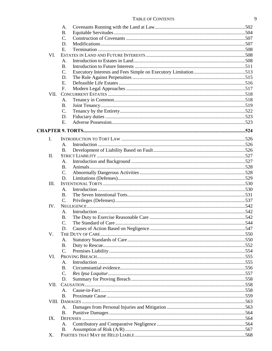|      | A.              |  |
|------|-----------------|--|
|      | <b>B.</b>       |  |
|      | $\mathcal{C}$ . |  |
|      | D.              |  |
|      | E.              |  |
| VI.  |                 |  |
|      | Α.              |  |
|      | <b>B.</b>       |  |
|      |                 |  |
|      | $\mathcal{C}$ . |  |
|      | D.              |  |
|      | E.              |  |
|      | F.              |  |
| VII. |                 |  |
|      | A.              |  |
|      | <b>B.</b>       |  |
|      | $\mathbf{C}$ .  |  |
|      | D.              |  |
|      | E.              |  |
|      |                 |  |
|      |                 |  |
| Ι.   |                 |  |
|      | A.              |  |
|      | <b>B.</b>       |  |
| II.  |                 |  |
|      | А.              |  |
|      | <b>B.</b>       |  |
|      | $\mathcal{C}$ . |  |
|      | D.              |  |
| Ш.   |                 |  |
|      | А.              |  |
|      | <b>B.</b>       |  |
|      | $C$ .           |  |
| IV.  |                 |  |
|      |                 |  |
|      | Α.              |  |
|      | <b>B.</b>       |  |
|      | $\mathcal{C}$ . |  |
|      | D.              |  |
| V.   |                 |  |
|      | А.              |  |
|      | <b>B.</b>       |  |
|      | $\mathcal{C}$ . |  |
| VI.  |                 |  |
|      | А.              |  |
|      | <b>B.</b>       |  |
|      | $\mathcal{C}$ . |  |
|      | D.              |  |
|      | VII.            |  |
|      | Α.              |  |
|      | <b>B.</b>       |  |
|      |                 |  |
|      | A.              |  |
|      | <b>B.</b>       |  |
| IX.  |                 |  |
|      |                 |  |
|      | Α.              |  |
|      | <b>B.</b>       |  |
| Χ.   |                 |  |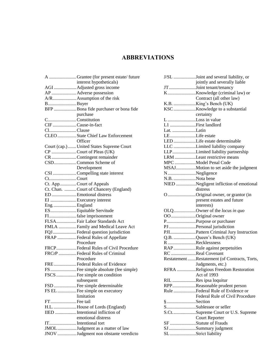## **ABBREVIATIONS**

<span id="page-11-0"></span>

|                   | A Grantee (for present estate/ future     |
|-------------------|-------------------------------------------|
|                   | interest hypotheticals)                   |
|                   | AGI  Adjusted gross income                |
|                   | AP  Adverse possession                    |
|                   |                                           |
|                   |                                           |
|                   | BFP  Bona fide purchaser or bona fide     |
|                   | purchase                                  |
| CConstitution     |                                           |
| CIF Cause-in-fact |                                           |
| ClClause          |                                           |
|                   | CLEOState Chief Law Enforcement           |
|                   | Officer                                   |
|                   | Court (cap.)  United States Supreme Court |
|                   | CP Court of Pleas (UK)                    |
|                   | CRContingent remainder                    |
|                   | CSDCommon Scheme of                       |
|                   | Development                               |
|                   | CSI Compelling state interest             |
| CtCourt           |                                           |
|                   | Ct. AppCourt of Appeals                   |
|                   | Ct. Chan.  Court of Chancery (England)    |
|                   | ED  Emotional distress                    |
|                   | EI  Executory interest                    |
| Eng.  England     |                                           |
|                   | ES Equitable Servitude                    |
|                   |                                           |
|                   | FLSA Fair Labor Standards Act             |
|                   | FMLA  Family and Medical Leave Act        |
|                   | FQJFederal question jurisdiction          |
|                   | FRAP  Federal Rules of Appellate          |
|                   | Procedure                                 |
|                   | FRCP Federal Rules of Civil Procedure     |
|                   | FRCrP  Federal Rules of Criminal          |
|                   | Procedure                                 |
|                   | FRE  Federal Rules of Evidence            |
|                   | FS  Fee simple absolute (fee simple)      |
|                   | FSCS  Fee simple on condition             |
|                   | subsequent                                |
|                   | FSD  Fee simple determinable              |
|                   | FS EL Fee simple on executory             |
|                   | limitation                                |
| FTFee tail        |                                           |
|                   | H.L.  House of Lords (England)            |
|                   | IIED  Intentional infliction of           |
|                   | emotional distress                        |
|                   |                                           |
|                   | JMOLJudgment as a matter of law           |
|                   | JNOV Judgment non obstante veredicto      |

|                              | J/SL Joint and several liability, or            |  |  |
|------------------------------|-------------------------------------------------|--|--|
|                              | jointly and severally liable                    |  |  |
|                              | jointly and severally<br>JTJoint tenant/tenancy |  |  |
|                              |                                                 |  |  |
|                              | Contract (all other law)                        |  |  |
|                              |                                                 |  |  |
|                              |                                                 |  |  |
|                              |                                                 |  |  |
| certainty<br>L Loss in value |                                                 |  |  |
| L1 First landlord            |                                                 |  |  |
| Lat. Latin                   |                                                 |  |  |
| LELife estate                |                                                 |  |  |
|                              | LED Life estate determinable                    |  |  |
|                              | LLC Limited liability company                   |  |  |
|                              | LLPLimited liability partnership                |  |  |
|                              | LRM Least restrictive means                     |  |  |
|                              | MPC Model Penal Code                            |  |  |
|                              | MSAJMotion to set aside the judgment            |  |  |
| NNegligence                  |                                                 |  |  |
| N.B. Nota bene               |                                                 |  |  |
|                              | NIED Negligent infliction of emotional          |  |  |
|                              | distress                                        |  |  |
|                              | OOriginal owner, or grantor (in                 |  |  |
|                              | present estates and future                      |  |  |
|                              |                                                 |  |  |
|                              |                                                 |  |  |
|                              | interests)                                      |  |  |
|                              | OLQOwner of the locus in quo                    |  |  |
|                              | OO Original owner                               |  |  |
|                              | PPurpose or purchaser                           |  |  |
|                              | PJPersonal jurisdiction                         |  |  |
|                              | PJIPattern Criminal Jury Instruction            |  |  |
|                              | Q.B. Queen's Bench (UK)                         |  |  |
| RRecklessness                |                                                 |  |  |
|                              | RAP Rule against perpetuities                   |  |  |
|                              | RC Real Covenant                                |  |  |
|                              | Restatement Restatement (of Contracts, Torts,   |  |  |
|                              | Judgments, etc.)                                |  |  |
|                              | RFRA Religious Freedom Restoration              |  |  |
|                              | Act of 1993                                     |  |  |
|                              | RIL Res ipsa loquitur                           |  |  |
|                              | RPPReasonable prudent person                    |  |  |
|                              | Rule Federal Rule of Evidence or                |  |  |
|                              | Federal Rule of Civil Procedure                 |  |  |
| §Section                     |                                                 |  |  |
|                              | SSublessee or seller                            |  |  |
|                              | S.CtSupreme Court or U.S. Supreme               |  |  |
|                              | <b>Court Reporter</b>                           |  |  |
|                              | SF Statute of Frauds                            |  |  |
| SL Strict liability          | SJSummary judgment                              |  |  |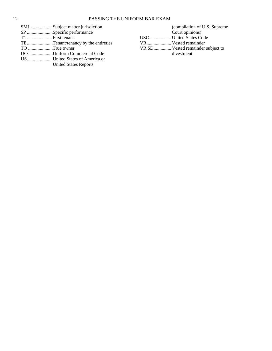| SMJ Subject matter jurisdiction    | (compilation of U.S. Supreme)     |
|------------------------------------|-----------------------------------|
| SP Specific performance            | Court opinions)                   |
|                                    | USC  United States Code           |
| TETenant/tenancy by the entireties | VR Vested remainder               |
| TO True owner                      | VR SD Vested remainder subject to |
| UCCUniform Commercial Code         | divestment                        |
| USUnited States of America or      |                                   |
| <b>United States Reports</b>       |                                   |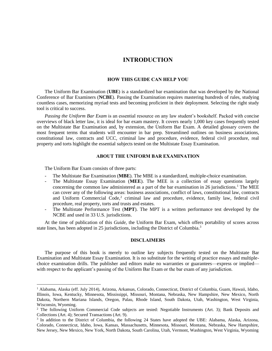## **INTRODUCTION**

#### **HOW THIS GUIDE CAN HELP YOU**

<span id="page-13-1"></span><span id="page-13-0"></span>The Uniform Bar Examination (**UBE**) is a standardized bar examination that was developed by the National Conference of Bar Examiners (**NCBE**). Passing the Examination requires mastering hundreds of rules, studying countless cases, memorizing myriad tests and becoming proficient in their deployment. Selecting the right study tool is critical to success.

*Passing the Uniform Bar Exam* is an essential resource on any law student's bookshelf. Packed with concise overviews of black letter law, it is ideal for bar exam mastery. It covers nearly 1,000 key cases frequently tested on the Multistate Bar Examination and, by extension, the Uniform Bar Exam. A detailed glossary covers the most frequent terms that students will encounter in bar prep. Streamlined outlines on business associations, constitutional law, contracts and UCC, criminal law and procedure, evidence, federal civil procedure, real property and torts highlight the essential subjects tested on the Multistate Essay Examination.

## **ABOUT THE UNIFORM BAR EXAMINATION**

<span id="page-13-2"></span>The Uniform Bar Exam consists of three parts:

 $\overline{a}$ 

- The Multistate Bar Examination (**MBE**). The MBE is a standardized, multiple-choice examination.
- The Multistate Essay Examination (**MEE**). The MEE is a collection of essay questions largely concerning the common law administered as a part of the bar examination in 26 jurisdictions.<sup>1</sup> The MEE can cover any of the following areas: business associations, conflict of laws, constitutional law, contracts and Uniform Commercial Code,<sup>2</sup> criminal law and procedure, evidence, family law, federal civil procedure, real property, torts and trusts and estates.
- The Multistate Performance Test (MPT). The MPT is a written performance test developed by the NCBE and used in 33 U.S. jurisdictions.

<span id="page-13-3"></span>At the time of publication of this *Guide*, the Uniform Bar Exam, which offers portability of scores across state lines, has been adopted in 25 jurisdictions, including the District of Columbia.<sup>3</sup>

#### **DISCLAIMERS**

The purpose of this book is merely to outline key subjects frequently tested on the Multistate Bar Examination and Multistate Essay Examination. It is no substitute for the writing of practice essays and multiplechoice examination drills. The publisher and editors make no warranties or guarantees—express or implied with respect to the applicant's passing of the Uniform Bar Exam or the bar exam of any jurisdiction.

<sup>&</sup>lt;sup>1</sup> Alabama, Alaska (eff. July 2014), Arizona, Arkansas, Colorado, Connecticut, District of Columbia, Guam, Hawaii, Idaho, Illinois, Iowa, Kentucky, Minnesota, Mississippi, Missouri, Montana, Nebraska, New Hampshire, New Mexico, North Dakota, Northern Mariana Islands, Oregon, Palau, Rhode Island, South Dakota, Utah, Washington, West Virginia, Wisconsin, Wyoming.

<sup>&</sup>lt;sup>2</sup> The following Uniform Commercial Code subjects are tested: Negotiable Instruments (Art. 3); Bank Deposits and Collections (Art. 4); Secured Transactions (Art. 9).

<sup>&</sup>lt;sup>3</sup> In addition to the District of Columbia, the following 24 States have adopted the UBE: Alabama, Alaska, Arizona, Colorado, Connecticut, Idaho, Iowa, Kansas, Massachusetts, Minnesota, Missouri, Montana, Nebraska, New Hampshire, New Jersey, New Mexico, New York, North Dakota, South Carolina, Utah, Vermont, Washington, West Virginia, Wyoming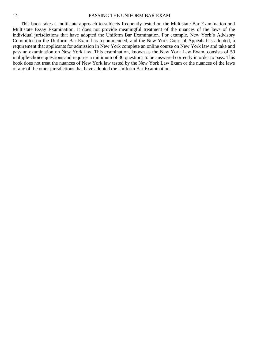This book takes a multistate approach to subjects frequently tested on the Multistate Bar Examination and Multistate Essay Examination. It does not provide meaningful treatment of the nuances of the laws of the individual jurisdictions that have adopted the Uniform Bar Examination. For example, New York's Advisory Committee on the Uniform Bar Exam has recommended, and the New York Court of Appeals has adopted, a requirement that applicants for admission in New York complete an online course on New York law and take and pass an examination on New York law. This examination, known as the New York Law Exam, consists of 50 multiple-choice questions and requires a minimum of 30 questions to be answered correctly in order to pass. This book does not treat the nuances of New York law tested by the New York Law Exam or the nuances of the laws of any of the other jurisdictions that have adopted the Uniform Bar Examination.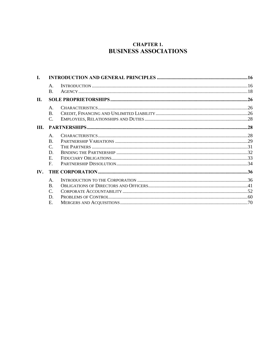## **CHAPTER 1. BUSINESS ASSOCIATIONS**

<span id="page-15-1"></span><span id="page-15-0"></span>

| $\mathbf{I}$ . |                             |  |  |
|----------------|-----------------------------|--|--|
|                | $A_{\cdot}$<br><sub>R</sub> |  |  |
| П.             |                             |  |  |
|                | $\mathsf{A}$ .              |  |  |
|                | <b>B.</b>                   |  |  |
|                | $C_{\cdot}$                 |  |  |
| Ш.             |                             |  |  |
|                | $\mathsf{A}$ .              |  |  |
|                | $\mathbf{B}$ .              |  |  |
|                | $\mathcal{C}_{\cdot}$       |  |  |
|                | D.                          |  |  |
|                | E.                          |  |  |
|                | F.                          |  |  |
| IV.            |                             |  |  |
|                | A.                          |  |  |
|                | $\mathbf{B}$ .              |  |  |
|                | $\mathcal{C}$ .             |  |  |
|                | D.                          |  |  |
|                | Е.                          |  |  |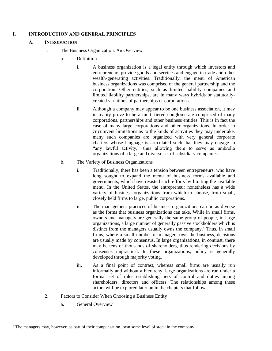## <span id="page-16-0"></span>**I. INTRODUCTION AND GENERAL PRINCIPLES**

## **A. INTRODUCTION**

- 1. The Business Organization: An Overview
	- a. Definition
		- i. A business organization is a legal entity through which investors and entrepreneurs provide goods and services and engage in trade and other wealth-generating activities. Traditionally, the menu of American business organizations was comprised of the general partnership and the corporation. Other entities, such as limited liability companies and limited liability partnerships, are in many ways hybrids or statutorilycreated variations of partnerships or corporations.
		- ii. Although a company may appear to be one business association, it may in reality prove to be a multi-tiered conglomerate comprised of many corporations, partnerships and other business entities. This is in fact the case of many large corporations and other organizations. In order to circumvent limitations as to the kinds of activities they may undertake, many such companies are organized with very general corporate charters whose language is articulated such that they may engage in "any lawful activity," thus allowing them to serve as umbrella organizations of a large and diverse set of subsidiary companies.
	- b. The Variety of Business Organizations
		- i. Traditionally, there has been a tension between entrepreneurs, who have long sought to expand the menu of business forms available and governments, which have resisted such efforts by limiting the available menu. In the United States, the entrepreneur nonetheless has a wide variety of business organizations from which to choose, from small, closely held firms to large, public corporations.
		- ii. The management practices of business organizations can be as diverse as the forms that business organizations can take. While in small firms, owners and managers are generally the same group of people, in large organizations, a large number of generally passive stockholders which is distinct from the managers usually owns the company.<sup>4</sup> Thus, in small firms, where a small number of managers own the business, decisions are usually made by consensus. In large organizations, in contrast, there may be tens of thousands of shareholders, thus rendering decisions by consensus impractical. In these organizations, policy is generally developed through majority voting.
		- iii. As a final point of contrast, whereas small firms are usually run informally and without a hierarchy, large organizations are run under a formal set of rules establishing tiers of control and duties among shareholders, directors and officers. The relationships among these actors will be explored later on in the chapters that follow.
- 2. Factors to Consider When Choosing a Business Entity
	- a. General Overview

 $\overline{a}$ 

<sup>&</sup>lt;sup>4</sup> The managers may, however, as part of their compensation, own some level of stock in the company.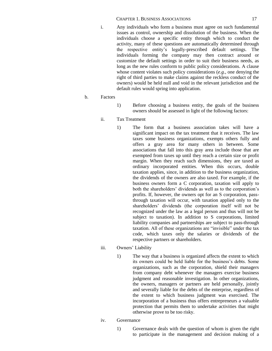#### CHAPTER 1. BUSINESS ASSOCIATIONS 17

- i. Any individuals who form a business must agree on such fundamental issues as control, ownership and dissolution of the business. When the individuals choose a specific entity through which to conduct the activity, many of these questions are automatically determined through the respective entity's legally-prescribed default settings. The individuals forming the company may then contract around or customize the default settings in order to suit their business needs, as long as the new rules conform to public policy considerations. A clause whose content violates such policy considerations (*e.g.*, one denying the right of third parties to make claims against the reckless conduct of the owners) would be held null and void in the relevant jurisdiction and the default rules would spring into application.
- b. Factors
- 1) Before choosing a business entity, the goals of the business owners should be assessed in light of the following factors:
- ii. Tax Treatment
	- 1) The form that a business association takes will have a significant impact on the tax treatment that it receives. The law taxes some business organizations, exempts others fully and offers a gray area for many others in between. Some associations that fall into this gray area include those that are exempted from taxes up until they reach a certain size or profit margin. When they reach such dimensions, they are taxed as ordinary incorporated entities. When this occurs, double taxation applies, since, in addition to the business organization, the dividends of the owners are also taxed. For example, if the business owners form a C corporation, taxation will apply to both the shareholders' dividends as well as to the corporation's profits. If, however, the owners opt for an S corporation, passthrough taxation will occur, with taxation applied only to the shareholders' dividends (the corporation itself will not be recognized under the law as a legal person and thus will not be subject to taxation). In addition to S corporations, limited liability companies and partnerships are subject to pass-through taxation. All of these organizations are "invisible" under the tax code, which taxes only the salaries or dividends of the respective partners or shareholders.
- iii. Owners' Liability
	- 1) The way that a business is organized affects the extent to which its owners could be held liable for the business's debts. Some organizations, such as the corporation, shield their managers from company debt whenever the managers exercise business judgment and reasonable investigation. In other organizations, the owners, managers or partners are held personally, jointly and severally liable for the debts of the enterprise, regardless of the extent to which business judgment was exercised. The incorporation of a business thus offers entrepreneurs a valuable protection that permits them to undertake activities that might otherwise prove to be too risky.
- iv. Governance
	- 1) Governance deals with the question of whom is given the right to participate in the management and decision making of a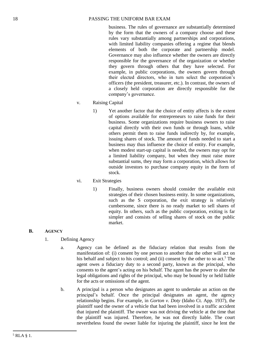business. The rules of governance are substantially determined by the form that the owners of a company choose and these rules vary substantially among partnerships and corporations, with limited liability companies offering a regime that blends elements of both the corporate and partnership model. Governance may also influence whether the owners are directly responsible for the governance of the organization or whether they govern through others that they have selected. For example, in public corporations, the owners govern through their elected directors, who in turn select the corporation's officers (the president, treasurer, etc.). In contrast, the owners of a closely held corporation are directly responsible for the company's governance.

## v. Raising Capital

- 1) Yet another factor that the choice of entity affects is the extent of options available for entrepreneurs to raise funds for their business. Some organizations require business owners to raise capital directly with their own funds or through loans, while others permit them to raise funds indirectly by, for example, issuing shares of stock. The amount of funds needed to start a business may thus influence the choice of entity. For example, when modest start-up capital is needed, the owners may opt for a limited liability company, but when they must raise more substantial sums, they may form a corporation, which allows for outside investors to purchase company equity in the form of stock.
- vi. Exit Strategies
	- 1) Finally, business owners should consider the available exit strategies of their chosen business entity. In some organizations, such as the S corporation, the exit strategy is relatively cumbersome, since there is no ready market to sell shares of equity. In others, such as the public corporation, exiting is far simpler and consists of selling shares of stock on the public market.

## <span id="page-18-0"></span>**B. AGENCY**

- 1. Defining Agency
	- a. Agency can be defined as the fiduciary relation that results from the manifestation of: (i) consent by one person to another that the other will act on his behalf and subject to his control; and (ii) consent by the other to so act.<sup>5</sup> The agent owes a fiduciary duty to a second party, known as the principal, who consents to the agent's acting on his behalf. The agent has the power to alter the legal obligations and rights of the principal, who may be bound by or held liable for the acts or omissions of the agent.
	- b. A principal is a person who designates an agent to undertake an action on the principal's behalf. Once the principal designates an agent, the agency relationship begins. For example, in *Gorton v. Doty* (Idaho Ct. App. 1937), the plaintiff sued the owner of a vehicle that had been involved in a traffic accident that injured the plaintiff. The owner was not driving the vehicle at the time that the plaintiff was injured. Therefore, he was not directly liable. The court nevertheless found the owner liable for injuring the plaintiff, since he lent the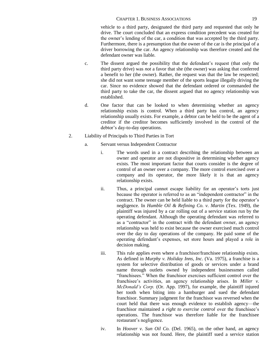vehicle to a third party, designated the third party and requested that only he drive. The court concluded that an express condition precedent was created for the owner's lending of the car, a condition that was accepted by the third party. Furthermore, there is a presumption that the owner of the car is the principal of a driver borrowing the car. An agency relationship was therefore created and the defendant owner was liable.

- c. The dissent argued the possibility that the defendant's request (that only the third party drive) was *not* a favor that she (the owner) was asking that conferred a benefit to her (the owner). Rather, the request was that the law be respected; she did not want some teenage member of the sports league illegally driving the car. Since no evidence showed that the defendant ordered or commanded the third party to take the car, the dissent argued that no agency relationship was established.
- d. One factor that can be looked to when determining whether an agency relationship exists is control. When a third party has control, an agency relationship usually exists. For example, a debtor can be held to be the agent of a creditor if the creditor becomes sufficiently involved in the control of the debtor's day-to-day operations.
- 2. Liability of Principals to Third Parties in Tort
	- a. Servant versus Independent Contractor
		- i. The words used in a contract describing the relationship between an owner and operator are not dispositive in determining whether agency exists. The most important factor that courts consider is the degree of control of an owner over a company. The more control exercised over a company and its operator, the more likely it is that an agency relationship exists.
		- ii. Thus, a principal cannot escape liability for an operator's torts just because the operator is referred to as an "independent contractor" in the contract. The owner can be held liable to a third party for the operator's negligence. In *Humble Oil & Refining Co. v. Martin* (Tex. 1949), the plaintiff was injured by a car rolling out of a service station run by the operating defendant. Although the operating defendant was referred to as a "contractor" in the contract with the defendant owner, an agency relationship was held to exist because the owner exercised much control over the day to day operations of the company. He paid some of the operating defendant's expenses, set store hours and played a role in decision making.
		- iii. This rule applies even where a franchisor/franchisee relationship exists. As defined in *Murphy v. Holiday Inns, Inc.* (Va. 1975), a franchise is a system for selective distribution of goods or services under a brand name through outlets owned by independent businessmen called "franchisees." When the franchisor exercises sufficient control over the franchisee's activities, an agency relationship arises. In *Miller v. McDonald's Corp.* (Or. App. 1997), for example, the plaintiff injured her tooth when biting into a hamburger and sued the defendant franchisor. Summary judgment for the franchisor was reversed when the court held that there was enough evidence to establish agency—the franchisor maintained a *right to exercise control* over the franchisee's operations. The franchisor was therefore liable for the franchisee restaurant's negligence.
		- iv. In *Hoover v. Sun Oil Co.* (Del. 1965), on the other hand, an agency relationship was not found. Here, the plaintiff sued a service station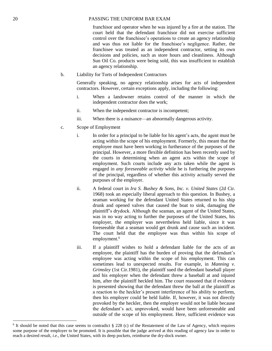franchisor and operator when he was injured by a fire at the station. The court held that the defendant franchisor did not exercise sufficient control over the franchisee's operations to create an agency relationship and was thus not liable for the franchisee's negligence. Rather, the franchisee was treated as an independent contractor, setting its own decisions and policies, such as store hours and cleanliness. Although Sun Oil Co. products were being sold, this was insufficient to establish an agency relationship.

b. Liability for Torts of Independent Contractors

Generally speaking, no agency relationship arises for acts of independent contractors. However, certain exceptions apply, including the following:

- i. When a landowner retains control of the manner in which the independent contractor does the work;
- ii. When the independent contractor is incompetent;
- iii. When there is a nuisance—an abnormally dangerous activity.
- c. Scope of Employment
	- i. In order for a principal to be liable for his agent's acts, the agent must be acting within the scope of his employment. Formerly, this meant that the employee must have been working in furtherance of the purposes of the principal. However, a more flexible definition has been recently used by the courts in determining when an agent acts within the scope of employment. Such courts include any acts taken while the agent is engaged in *any foreseeable activity* while he is furthering the purposes of the principal, regardless of whether this activity actually served the purposes of the employer.
	- ii. A federal court in *Ira S. Bushey & Sons, Inc. v. United States* (2d Cir. 1968) took an especially liberal approach to this question. In Bushey, a seaman working for the defendant United States returned to his ship drunk and opened valves that caused the boat to sink, damaging the plaintiff's drydock. Although the seaman, an agent of the United States, was in no way acting to further the purposes of the United States, his employer, the employer was nevertheless held liable, since it was foreseeable that a seaman would get drunk and cause such an incident. The court held that the employee was thus within his scope of employment.<sup>6</sup>
	- iii. If a plaintiff wishes to hold a defendant liable for the acts of an employee, the plaintiff has the burden of proving that the defendant's employee was acting within the scope of his employment. This can sometimes lead to unexpected results. For example, in *Manning v. Grimsley* (1st Cir.1981), the plaintiff sued the defendant baseball player and his employer when the defendant threw a baseball at and injured him, after the plaintiff heckled him. The court reasoned that if evidence is presented showing that the defendant threw the ball at the plaintiff as a reaction to the heckler's present interference of his ability to perform, then his employer could be held liable. If, however, it was not directly provoked by the heckler, then the employer would not be liable because the defendant's act, unprovoked, would have been unforeseeable and outside of the scope of his employment. Here, sufficient evidence was

 $\overline{a}$ 

 $6$  It should be noted that this case seems to contradict  $\S 228$  (c) of the Restatement of the Law of Agency, which requires some purpose of the employer to be promoted. It is possible that the judge arrived at this reading of agency law in order to reach a desired result, *i.e.*, the United States, with its deep pockets, reimburse the dry-dock owner.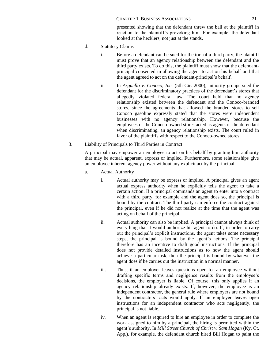presented showing that the defendant threw the ball at the plaintiff in reaction to the plaintiff's provoking him. For example, the defendant looked at the hecklers, not just at the stands.

- d. Statutory Claims
	- i. Before a defendant can be sued for the tort of a third party, the plaintiff must prove that an agency relationship between the defendant and the third party exists. To do this, the plaintiff must show that the defendantprincipal consented in allowing the agent to act on his behalf and that the agent agreed to act on the defendant-principal's behalf.
	- ii. In *Arguello v. Conoco, Inc.* (5th Cir. 2000), minority groups sued the defendant for the discriminatory practices of the defendant's stores that allegedly violated federal law. The court held that no agency relationship existed between the defendant and the Conoco-branded stores, since the agreements that allowed the branded stores to sell Conoco gasoline expressly stated that the stores were independent businesses with no agency relationship. However, because the employees of the Conoco-owned stores acted as agents of the defendant when discriminating, an agency relationship exists. The court ruled in favor of the plaintiffs with respect to the Conoco-owned stores.
- 3. Liability of Principals to Third Parties in Contract

A principal may empower an employee to act on his behalf by granting him authority that may be actual, apparent, express or implied. Furthermore, some relationships give an employee inherent agency power without any explicit act by the principal.

- a. Actual Authority
	- i. Actual authority may be express or implied. A principal gives an agent actual express authority when he explicitly tells the agent to take a certain action. If a principal commands an agent to enter into a contract with a third party, for example and the agent does so, the principal is bound by the contract. The third party can enforce the contract against the principal, even if he did not realize at the time that the agent was acting on behalf of the principal.
	- ii. Actual authority can also be implied. A principal cannot always think of everything that it would authorize his agent to do. If, in order to carry out the principal's explicit instructions, the agent takes some necessary steps, the principal is bound by the agent's actions. The principal therefore has an incentive to draft good instructions. If the principal does not provide detailed instructions as to how the agent should achieve a particular task, then the principal is bound by whatever the agent does if he carries out the instruction in a normal manner.
	- iii. Thus, if an employer leaves questions open for an employee without drafting specific terms and negligence results from the employee's decisions, the employer is liable. Of course, this only applies if an agency relationship already exists. If, however, the employee is an independent contractor, the general rule where employers are not bound by the contractors' acts would apply. If an employer leaves open instructions for an independent contractor who acts negligently, the principal is not liable.
	- iv. When an agent is required to hire an employee in order to complete the work assigned to him by a principal, the hiring is permitted within the agent's authority. In *Mill Street Church of Christ v. Sam Hogan* (Ky. Ct. App.), for example, the defendant church hired Bill Hogan to paint the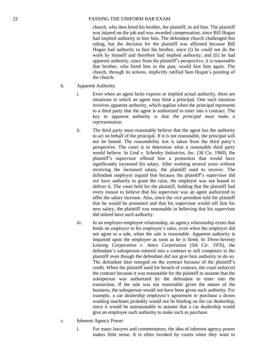church, who then hired his brother, the plaintiff, to aid him. The plaintiff was injured on the job and was awarded compensation, since Bill Hogan had implied authority to hire him. The defendant church challenged this ruling, but the decision for the plaintiff was affirmed because Bill Hogan had authority to hire his brother, since (i) he could not do the work by himself and therefore had implied authority; and (ii) he had apparent authority, since from the plaintiff's perspective, it is reasonable that brother, who hired him in the past, would hire him again. The church, through its actions, implicitly ratified Sam Hogan's painting of the church.

- b. Apparent Authority
	- i. Even when an agent lacks express or implied actual authority, there are situations in which an agent may bind a principal. One such situation involves apparent authority, which applies when the principal represents to a third party that the agent is authorized to enter into a contract. The key to apparent authority is that *the principal must make a representation.*
	- ii. The third party must reasonably believe that the agent has the authority to act on behalf of the principal. If it is not reasonable, the principal will not be bound. The reasonability test is taken from the third party's perspective. The court is to determine what a reasonable third party would believe. In *Lind v. Schenley Industries, Inc.* (3d Cir. 1960), the plaintiff's supervisor offered him a promotion that would have significantly increased his salary. After working several years without receiving the increased salary, the plaintiff sued to recover. The defendant employer argued that because the plaintiff's supervisor did not have authority to grant the raise, the employer was not bound to deliver it. The court held for the plaintiff, holding that the plaintiff had every reason to believe that his supervisor was an agent authorized to offer the salary increase. Also, since the vice president told the plaintiff that he would be promoted and that his supervisor would tell him his new salary, the plaintiff was reasonable in believing that his supervisor did indeed have such authority.
	- iii. In an employer-employee relationship, an agency relationship exists that binds an employer to his employee's sales, even when the employer did not agree to a sale, when the sale is reasonable. Apparent authority is imparted upon the employee as soon as he is hired. In *Three-Seventy Leasing Corporation v. Amex Corporation* (5th Cir. 1976), the defendant's salesperson entered into a contract to sell computers to the plaintiff even though the defendant did not give him authority to do so. The defendant later reneged on the contract because of the plaintiff's credit. When the plaintiff sued for breach of contract, the court enforced the contract because it was reasonable for the plaintiff to assume that the salesperson was authorized by the defendant to enter into the transaction. If the sale was not reasonable given the nature of the business, the salesperson would not have been given such authority. For example, a car dealership employee's agreement to purchase a dozen washing machines probably would not be binding on the car dealership, since it would be unreasonable to assume that a car dealership would give an employee such authority to make such as purchase.
- c. Inherent Agency Power
	- i. For many lawyers and commentators, the idea of inherent agency power makes little sense. It is often invoked by courts when they want to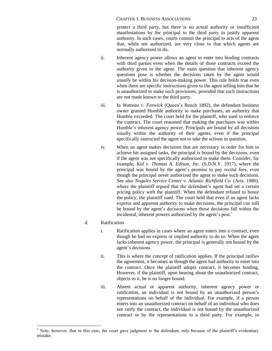protect a third party, but there is no actual authority or insufficient manifestations by the principal to the third party to justify apparent authority. In such cases, courts commit the principal to acts of the agent that, while not authorized, are very close to that which agents are normally authorized to do.

- ii. Inherent agency power allows an agent to enter into binding contracts with third parties even when the details of those contracts exceed the authority given to the agent. The main question that inherent agency questions pose is whether the decisions taken by the agent would *usually* be within his decision-making power. This rule holds true even when there are specific instructions given to the agent telling him that he is unauthorized to make such provisions, provided that such instructions are not made known to the third party.
- iii. In *Watteau v. Fenwick* (Queen's Bench 1892), the defendant business owner granted Humble authority to make purchases, an authority that Humble exceeded. The court held for the plaintiff, who sued to enforce the contract. The court reasoned that making the purchases was within Humble's inherent agency power. Principals are bound by all decisions usually within the authority of their agents, even if the principal specifically instructed the agent not to take the actions in question.
- iv. When an agent makes decisions that are necessary in order for him to achieve his assigned tasks, the principal is bound by the decisions, even if the agent was not specifically authorized to make them. Consider, for example, *Kid v. Thomas A. Edison, Inc.* (S.D.N.Y. 1917), where the principal was bound by the agent's promise to pay recital fees, even though the principal never authorized the agent to make such decisions. See also *Nogales Service Center v. Atlantic Richfield Co.* (Ariz. 1980), where the plaintiff argued that the defendant's agent had set a certain pricing policy with the plaintiff. When the defendant refused to honor the policy, the plaintiff sued. The court held that even if an agent lacks express and apparent authority to make decisions, the principal can still be bound by the agent's decisions when those decisions fall within the incidental, inherent powers authorized by the agent's post.<sup>7</sup>
- d. Ratification

- i. Ratification applies in cases where an agent enters into a contract, even though he had no express or implied authority to do so. When the agent lacks inherent agency power, the principal is generally not bound by the agent's decisions.
- ii. This is where the concept of ratification applies. If the principal ratifies the agreement, it becomes as though the agent had authority to enter into the contract. Once the plaintiff adopts contract, it becomes binding. However, if the plaintiff, upon hearing about the unauthorized contract, objects to it, he is no longer bound.
- iii. Absent actual or apparent authority, inherent agency power or ratification, an individual is not bound by an unauthorized person's representations on behalf of the individual. For example, if a person enters into an unauthorized contract on behalf of an individual who does not ratify the contract, the individual is not bound by the unauthorized contract or by the representations to a third party. For example, in

<sup>&</sup>lt;sup>7</sup> Note, however, that in this case, the court gave judgment to the defendant, only because of the plaintiff's evidentiary mistake.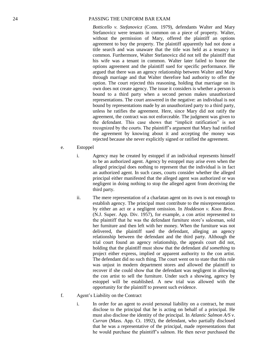*Botticello v. Stefanovicz* (Conn. 1979), defendants Walter and Mary Stefanovicz were tenants in common on a piece of property. Walter, without the permission of Mary, offered the plaintiff an options agreement to buy the property. The plaintiff apparently had not done a title search and was unaware that the title was held as a tenancy in common. Furthermore, Walter Stefanovicz did not tell the plaintiff that his wife was a tenant in common. Walter later failed to honor the options agreement and the plaintiff sued for specific performance. He argued that there was an agency relationship between Walter and Mary through marriage and that Walter therefore had authority to offer the option. The court rejected this reasoning, holding that marriage on its own does not create agency. The issue it considers is whether a person is bound to a third party when a second person makes unauthorized representations. The court answered in the negative: an individual is not bound by representations made by an unauthorized party to a third party, unless he ratifies the agreement. Here, since Mary did not ratify the agreement, the contract was not enforceable. The judgment was given to the defendant. This case shows that "implicit ratification" is not recognized by the courts. The plaintiff's argument that Mary had ratified the agreement by knowing about it and accepting the money was rejected because she never explicitly signed or ratified the agreement.

- e. Estoppel
	- i. Agency may be created by estoppel if an individual represents himself to be an authorized agent. Agency by estoppel may arise even when the alleged principal does nothing to represent that the individual is in fact an authorized agent. In such cases, courts consider whether the alleged principal either manifested that the alleged agent was authorized or was negligent in doing nothing to stop the alleged agent from deceiving the third party.
	- ii. The mere representation of a charlatan agent on its own is not enough to establish agency. The principal must contribute to the misrepresentation by either an act or a negligent omission. In *Hoddeson v. Koos Bros . .* (N.J. Super. App. Div. 1957), for example, a con artist represented to the plaintiff that he was the defendant furniture store's salesman, sold her furniture and then left with her money. When the furniture was not delivered, the plaintiff sued the defendant, alleging an agency relationship between the defendant and the third party. Although the trial court found an agency relationship, the appeals court did not, holding that the plaintiff must show that the defendant *did something* to project either express, implied or apparent authority to the con artist. The defendant did no such thing. The court went on to state that this rule was unjust in modern department stores and allowed the plaintiff to recover if she could show that the defendant was negligent in allowing the con artist to sell the furniture. Under such a showing, agency by estoppel will be established. A new trial was allowed with the opportunity for the plaintiff to present such evidence.
- f. Agent's Liability on the Contract
	- i. In order for an agent to avoid personal liability on a contract, he must disclose to the principal that he is acting on behalf of a principal. He must also disclose the identity of the principal. In *Atlantic Salmon A/S v. Curran* (Mass. App. Ct. 1992), the defendant, who partially disclosed that he was a representative of the principal, made representations that he would purchase the plaintiff's salmon. He then never purchased the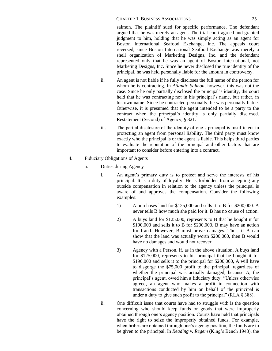salmon. The plaintiff sued for specific performance. The defendant argued that he was merely an agent. The trial court agreed and granted judgment to him, holding that he was simply acting as an agent for Boston International Seafood Exchange, Inc. The appeals court reversed, since Boston International Seafood Exchange was merely a shell organization of Marketing Designs, Inc. and the defendant represented only that he was an agent of Boston International, not Marketing Designs, Inc. Since he never disclosed the true identity of the principal, he was held personally liable for the amount in controversy.

- ii. An agent is not liable if he fully discloses the full name of the person for whom he is contracting. In *Atlantic Salmon*, however, this was not the case. Since he only partially disclosed the principal's identity, the court held that he was contracting not in his principal's name, but rather, in his own name. Since he contracted personally, he was personally liable. Otherwise, it is presumed that the agent intended to be a party to the contract when the principal's identity is only partially disclosed. Restatement (Second) of Agency, § 321.
- iii. The partial disclosure of the identity of one's principal is insufficient in protecting an agent from personal liability. The third party must know exactly who the principal is or the agent is liable. This helps third parties to evaluate the reputation of the principal and other factors that are important to consider before entering into a contract.
- 4. Fiduciary Obligations of Agents
	- a. Duties during Agency
		- i. An agent's primary duty is to protect and serve the interests of his principal. It is a duty of loyalty. He is forbidden from accepting any outside compensation in relation to the agency unless the principal is aware of and approves the compensation. Consider the following examples:
			- 1) A purchases land for \$125,000 and sells it to B for \$200,000. A never tells B how much she paid for it. B has no cause of action.
			- 2) A buys land for \$125,000, represents to B that he bought it for \$190,000 and sells it to B for \$200,000. B may have an action for fraud. However, B must prove damages. Thus, if A can show that the land was actually worth \$200,000, then B would have no damages and would not recover.
			- 3) Agency with a Person**.** If, as in the above situation, A buys land for \$125,000, represents to his principal that he bought it for \$190,000 and sells it to the principal for \$200,000, A will have to disgorge the \$75,000 profit to the principal, regardless of whether the principal was actually damaged, because A, the principal's agent, owed him a fiduciary duty: "Unless otherwise agreed, an agent who makes a profit in connection with transactions conducted by him on behalf of the principal is under a duty to give such profit to the principal" (RLA  $\S$  388).
		- ii. One difficult issue that courts have had to struggle with is the question concerning who should keep funds or goods that were improperly obtained through one's agency position. Courts have held that principals have the right to seize the improperly obtained funds. For example, when bribes are obtained through one's agency position, the funds are to be given to the principal. In *Reading v. Regem* (King's Bench 1948), the